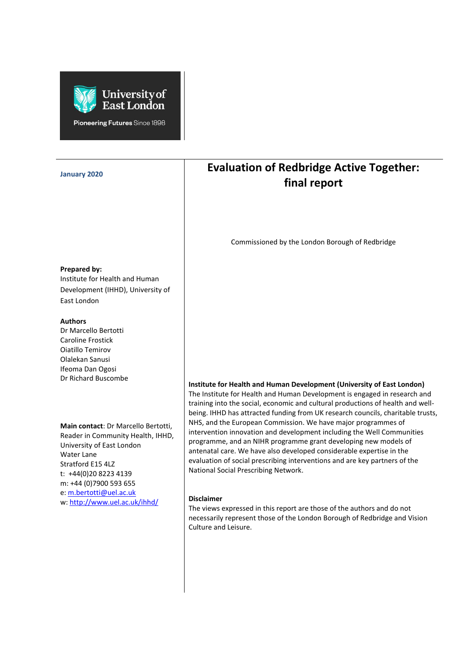

Pioneering Futures Since 1898

| <b>January 2020</b>                                                                                                                                                                         | <b>Evaluation of Redbridge Active Together:</b><br>final report                                                                                                                                                                                                                                                                                                                                                                                                                                                                                                                                                                                                                                                                       |
|---------------------------------------------------------------------------------------------------------------------------------------------------------------------------------------------|---------------------------------------------------------------------------------------------------------------------------------------------------------------------------------------------------------------------------------------------------------------------------------------------------------------------------------------------------------------------------------------------------------------------------------------------------------------------------------------------------------------------------------------------------------------------------------------------------------------------------------------------------------------------------------------------------------------------------------------|
| Prepared by:<br>Institute for Health and Human                                                                                                                                              | Commissioned by the London Borough of Redbridge                                                                                                                                                                                                                                                                                                                                                                                                                                                                                                                                                                                                                                                                                       |
| Development (IHHD), University of<br>East London                                                                                                                                            |                                                                                                                                                                                                                                                                                                                                                                                                                                                                                                                                                                                                                                                                                                                                       |
| <b>Authors</b><br>Dr Marcello Bertotti<br><b>Caroline Frostick</b><br>Oiatillo Temirov<br>Olalekan Sanusi<br>Ifeoma Dan Ogosi<br>Dr Richard Buscombe                                        |                                                                                                                                                                                                                                                                                                                                                                                                                                                                                                                                                                                                                                                                                                                                       |
| Main contact: Dr Marcello Bertotti,<br>Reader in Community Health, IHHD,<br>University of East London<br>Water Lane<br>Stratford E15 4LZ<br>t: +44(0)20 8223 4139<br>m: +44 (0)7900 593 655 | Institute for Health and Human Development (University of East London)<br>The Institute for Health and Human Development is engaged in research and<br>training into the social, economic and cultural productions of health and well-<br>being. IHHD has attracted funding from UK research councils, charitable trusts,<br>NHS, and the European Commission. We have major programmes of<br>intervention innovation and development including the Well Communities<br>programme, and an NIHR programme grant developing new models of<br>antenatal care. We have also developed considerable expertise in the<br>evaluation of social prescribing interventions and are key partners of the<br>National Social Prescribing Network. |
| e: m.bertotti@uel.ac.uk<br>w: http://www.uel.ac.uk/ihhd/                                                                                                                                    | <b>Disclaimer</b><br>The views expressed in this report are those of the authors and do not<br>necessarily represent those of the London Borough of Redbridge and Vision<br>Culture and Leisure.                                                                                                                                                                                                                                                                                                                                                                                                                                                                                                                                      |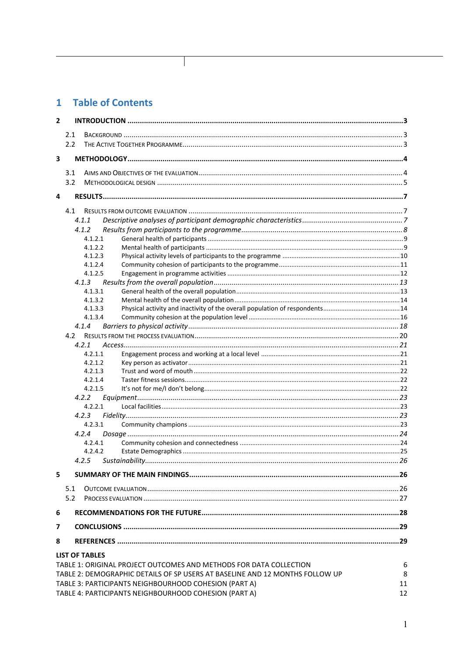## 1 Table of Contents

 $\mathbf{I}$ 

| $\mathbf{2}$ |                       |         |                                                                              |    |
|--------------|-----------------------|---------|------------------------------------------------------------------------------|----|
|              | 2.1                   |         |                                                                              |    |
|              | 2.2                   |         |                                                                              |    |
| 3            |                       |         |                                                                              |    |
|              | 3.1                   |         |                                                                              |    |
|              | 3.2                   |         |                                                                              |    |
| 4            |                       |         |                                                                              |    |
|              | 4.1                   |         |                                                                              |    |
|              | 4.1.1                 |         |                                                                              |    |
|              | 4.1.2                 |         |                                                                              |    |
|              |                       | 4.1.2.1 |                                                                              |    |
|              |                       | 4.1.2.2 |                                                                              |    |
|              |                       | 4.1.2.3 |                                                                              |    |
|              |                       | 4.1.2.4 |                                                                              |    |
|              |                       | 4.1.2.5 |                                                                              |    |
|              | 4.1.3                 |         |                                                                              |    |
|              |                       | 4.1.3.1 |                                                                              |    |
|              |                       | 4.1.3.2 |                                                                              |    |
|              |                       | 4.1.3.3 |                                                                              |    |
|              |                       | 4.1.3.4 |                                                                              |    |
|              | 4.1.4                 |         |                                                                              |    |
|              | 4.2                   |         |                                                                              |    |
|              | 4.2.1                 |         |                                                                              |    |
|              |                       | 4.2.1.1 |                                                                              |    |
|              |                       | 4.2.1.2 |                                                                              |    |
|              |                       | 4.2.1.3 |                                                                              |    |
|              |                       | 4.2.1.4 |                                                                              |    |
|              |                       | 4.2.1.5 |                                                                              |    |
|              | 4.2.2                 |         |                                                                              |    |
|              |                       | 4.2.2.1 |                                                                              |    |
|              | 4.2.3                 |         |                                                                              |    |
|              |                       | 4.2.3.1 |                                                                              |    |
|              | 4.2.4                 |         |                                                                              |    |
|              |                       | 4.2.4.1 |                                                                              |    |
|              |                       | 4.2.4.2 |                                                                              |    |
|              | 4.2.5                 |         |                                                                              |    |
| 5.           |                       |         |                                                                              |    |
|              | 5.1                   |         |                                                                              |    |
|              | 5.2                   |         |                                                                              |    |
|              |                       |         |                                                                              |    |
| 6            |                       |         |                                                                              |    |
| 7            |                       |         |                                                                              |    |
| 8            |                       |         |                                                                              |    |
|              | <b>LIST OF TABLES</b> |         |                                                                              |    |
|              |                       |         | TABLE 1: ORIGINAL PROJECT OUTCOMES AND METHODS FOR DATA COLLECTION           | 6  |
|              |                       |         | TABLE 2: DEMOGRAPHIC DETAILS OF SP USERS AT BASELINE AND 12 MONTHS FOLLOW UP | 8  |
|              |                       |         | TABLE 3: PARTICIPANTS NEIGHBOURHOOD COHESION (PART A)                        | 11 |
|              |                       |         | TABLE 4: PARTICIPANTS NEIGHBOURHOOD COHESION (PART A)                        | 12 |
|              |                       |         |                                                                              |    |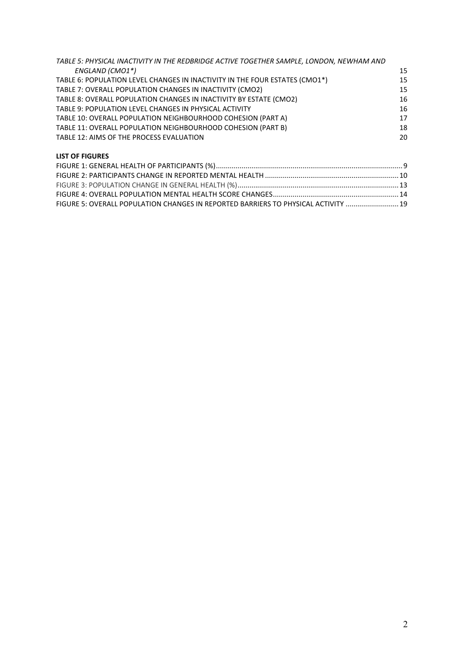| TABLE 5: PHYSICAL INACTIVITY IN THE REDBRIDGE ACTIVE TOGETHER SAMPLE, LONDON, NEWHAM AND |    |
|------------------------------------------------------------------------------------------|----|
| ENGLAND (CMO1*)                                                                          | 15 |
| TABLE 6: POPULATION LEVEL CHANGES IN INACTIVITY IN THE FOUR ESTATES (CMO1*)              | 15 |
| TABLE 7: OVERALL POPULATION CHANGES IN INACTIVITY (CMO2)                                 | 15 |
| TABLE 8: OVERALL POPULATION CHANGES IN INACTIVITY BY ESTATE (CMO2)                       | 16 |
| TABLE 9: POPULATION LEVEL CHANGES IN PHYSICAL ACTIVITY                                   | 16 |
| TABLE 10: OVERALL POPULATION NEIGHBOURHOOD COHESION (PART A)                             | 17 |
| TABLE 11: OVERALL POPULATION NEIGHBOURHOOD COHESION (PART B)                             | 18 |
| TABLE 12: AIMS OF THE PROCESS EVALUATION                                                 | 20 |
|                                                                                          |    |

#### **LIST OF FIGURES**

| FIGURE 5: OVERALL POPULATION CHANGES IN REPORTED BARRIERS TO PHYSICAL ACTIVITY  19 |  |
|------------------------------------------------------------------------------------|--|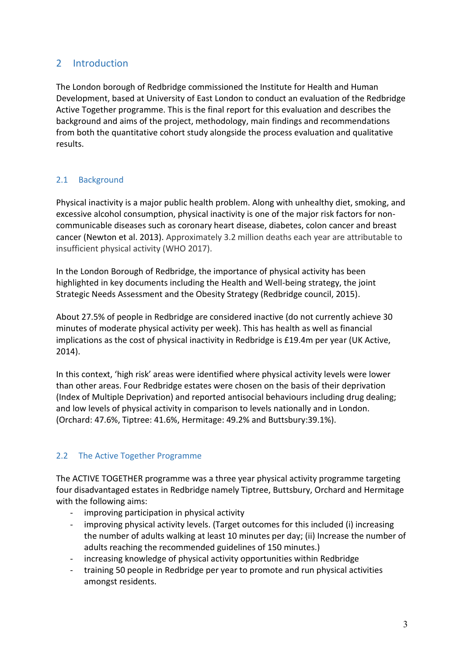## <span id="page-3-0"></span>2 Introduction

The London borough of Redbridge commissioned the Institute for Health and Human Development, based at University of East London to conduct an evaluation of the Redbridge Active Together programme. This is the final report for this evaluation and describes the background and aims of the project, methodology, main findings and recommendations from both the quantitative cohort study alongside the process evaluation and qualitative results.

### <span id="page-3-1"></span>2.1 Background

Physical inactivity is a major public health problem. Along with unhealthy diet, smoking, and excessive alcohol consumption, physical inactivity is one of the major risk factors for noncommunicable diseases such as coronary heart disease, diabetes, colon cancer and breast cancer (Newton et al. 2013). Approximately 3.2 million deaths each year are attributable to insufficient physical activity (WHO 2017).

In the London Borough of Redbridge, the importance of physical activity has been highlighted in key documents including the Health and Well-being strategy, the joint Strategic Needs Assessment and the Obesity Strategy (Redbridge council, 2015).

About 27.5% of people in Redbridge are considered inactive (do not currently achieve 30 minutes of moderate physical activity per week). This has health as well as financial implications as the cost of physical inactivity in Redbridge is £19.4m per year (UK Active, 2014).

In this context, 'high risk' areas were identified where physical activity levels were lower than other areas. Four Redbridge estates were chosen on the basis of their deprivation (Index of Multiple Deprivation) and reported antisocial behaviours including drug dealing; and low levels of physical activity in comparison to levels nationally and in London. (Orchard: 47.6%, Tiptree: 41.6%, Hermitage: 49.2% and Buttsbury:39.1%).

## <span id="page-3-2"></span>2.2 The Active Together Programme

The ACTIVE TOGETHER programme was a three year physical activity programme targeting four disadvantaged estates in Redbridge namely Tiptree, Buttsbury, Orchard and Hermitage with the following aims:

- improving participation in physical activity
- improving physical activity levels. (Target outcomes for this included (i) increasing the number of adults walking at least 10 minutes per day; (ii) Increase the number of adults reaching the recommended guidelines of 150 minutes.)
- increasing knowledge of physical activity opportunities within Redbridge
- training 50 people in Redbridge per year to promote and run physical activities amongst residents.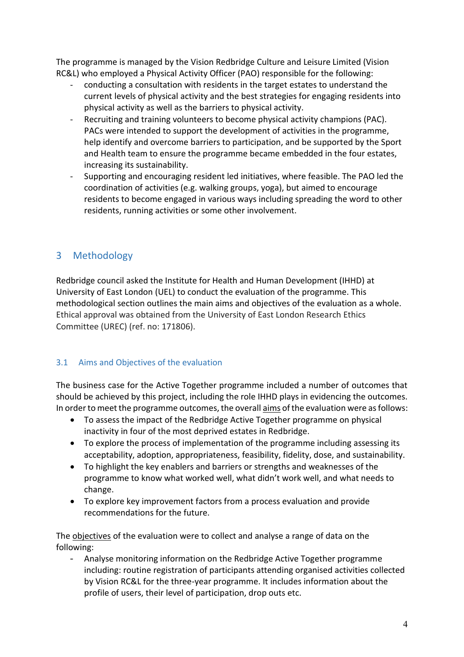The programme is managed by the Vision Redbridge Culture and Leisure Limited (Vision RC&L) who employed a Physical Activity Officer (PAO) responsible for the following:

- conducting a consultation with residents in the target estates to understand the current levels of physical activity and the best strategies for engaging residents into physical activity as well as the barriers to physical activity.
- Recruiting and training volunteers to become physical activity champions (PAC). PACs were intended to support the development of activities in the programme, help identify and overcome barriers to participation, and be supported by the Sport and Health team to ensure the programme became embedded in the four estates, increasing its sustainability.
- Supporting and encouraging resident led initiatives, where feasible. The PAO led the coordination of activities (e.g. walking groups, yoga), but aimed to encourage residents to become engaged in various ways including spreading the word to other residents, running activities or some other involvement.

## <span id="page-4-0"></span>3 Methodology

Redbridge council asked the Institute for Health and Human Development (IHHD) at University of East London (UEL) to conduct the evaluation of the programme. This methodological section outlines the main aims and objectives of the evaluation as a whole. Ethical approval was obtained from the University of East London Research Ethics Committee (UREC) (ref. no: 171806).

## <span id="page-4-1"></span>3.1 Aims and Objectives of the evaluation

The business case for the Active Together programme included a number of outcomes that should be achieved by this project, including the role IHHD plays in evidencing the outcomes. In order to meet the programme outcomes, the overall aims of the evaluation were as follows:

- To assess the impact of the Redbridge Active Together programme on physical inactivity in four of the most deprived estates in Redbridge.
- To explore the process of implementation of the programme including assessing its acceptability, adoption, appropriateness, feasibility, fidelity, dose, and sustainability.
- To highlight the key enablers and barriers or strengths and weaknesses of the programme to know what worked well, what didn't work well, and what needs to change.
- To explore key improvement factors from a process evaluation and provide recommendations for the future.

The objectives of the evaluation were to collect and analyse a range of data on the following:

- Analyse monitoring information on the Redbridge Active Together programme including: routine registration of participants attending organised activities collected by Vision RC&L for the three-year programme. It includes information about the profile of users, their level of participation, drop outs etc.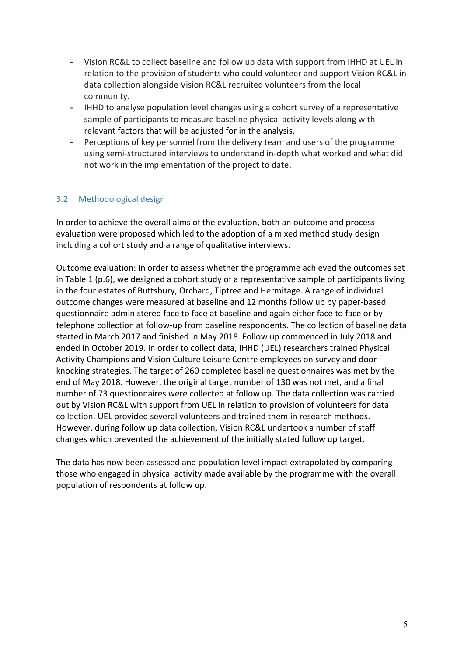- Vision RC&L to collect baseline and follow up data with support from IHHD at UEL in relation to the provision of students who could volunteer and support Vision RC&L in data collection alongside Vision RC&L recruited volunteers from the local community.
- IHHD to analyse population level changes using a cohort survey of a representative sample of participants to measure baseline physical activity levels along with relevant factors that will be adjusted for in the analysis.
- Perceptions of key personnel from the delivery team and users of the programme using semi-structured interviews to understand in-depth what worked and what did not work in the implementation of the project to date.

## <span id="page-5-0"></span>3.2 Methodological design

In order to achieve the overall aims of the evaluation, both an outcome and process evaluation were proposed which led to the adoption of a mixed method study design including a cohort study and a range of qualitative interviews.

Outcome evaluation: In order to assess whether the programme achieved the outcomes set in [Table 1](#page-6-0) (p.6), we designed a cohort study of a representative sample of participants living in the four estates of Buttsbury, Orchard, Tiptree and Hermitage. A range of individual outcome changes were measured at baseline and 12 months follow up by paper-based questionnaire administered face to face at baseline and again either face to face or by telephone collection at follow-up from baseline respondents. The collection of baseline data started in March 2017 and finished in May 2018. Follow up commenced in July 2018 and ended in October 2019. In order to collect data, IHHD (UEL) researchers trained Physical Activity Champions and Vision Culture Leisure Centre employees on survey and doorknocking strategies. The target of 260 completed baseline questionnaires was met by the end of May 2018. However, the original target number of 130 was not met, and a final number of 73 questionnaires were collected at follow up. The data collection was carried out by Vision RC&L with support from UEL in relation to provision of volunteers for data collection. UEL provided several volunteers and trained them in research methods. However, during follow up data collection, Vision RC&L undertook a number of staff changes which prevented the achievement of the initially stated follow up target.

The data has now been assessed and population level impact extrapolated by comparing those who engaged in physical activity made available by the programme with the overall population of respondents at follow up.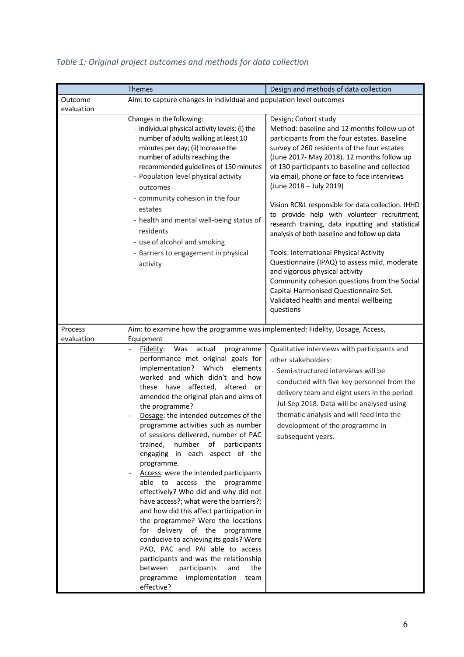|                       | <b>Themes</b><br>Design and methods of data collection                                                                                                                                                                                                                                                                                                                                                                                                                                                                                                                                                                                                                                                                                                                                                                                                                                                                                                                |                                                                                                                                                                                                                                                                                                                                                                                                                                                                                                                                                                                                                                                                                                                                                                                                                                  |  |
|-----------------------|-----------------------------------------------------------------------------------------------------------------------------------------------------------------------------------------------------------------------------------------------------------------------------------------------------------------------------------------------------------------------------------------------------------------------------------------------------------------------------------------------------------------------------------------------------------------------------------------------------------------------------------------------------------------------------------------------------------------------------------------------------------------------------------------------------------------------------------------------------------------------------------------------------------------------------------------------------------------------|----------------------------------------------------------------------------------------------------------------------------------------------------------------------------------------------------------------------------------------------------------------------------------------------------------------------------------------------------------------------------------------------------------------------------------------------------------------------------------------------------------------------------------------------------------------------------------------------------------------------------------------------------------------------------------------------------------------------------------------------------------------------------------------------------------------------------------|--|
| Outcome<br>evaluation | Aim: to capture changes in individual and population level outcomes                                                                                                                                                                                                                                                                                                                                                                                                                                                                                                                                                                                                                                                                                                                                                                                                                                                                                                   |                                                                                                                                                                                                                                                                                                                                                                                                                                                                                                                                                                                                                                                                                                                                                                                                                                  |  |
|                       | Changes in the following:<br>- individual physical activity levels: (i) the<br>number of adults walking at least 10<br>minutes per day; (ii) Increase the<br>number of adults reaching the<br>recommended guidelines of 150 minutes<br>- Population level physical activity<br>outcomes<br>- community cohesion in the four<br>estates<br>- health and mental well-being status of<br>residents<br>- use of alcohol and smoking<br>- Barriers to engagement in physical<br>activity                                                                                                                                                                                                                                                                                                                                                                                                                                                                                   | Design; Cohort study<br>Method: baseline and 12 months follow up of<br>participants from the four estates. Baseline<br>survey of 260 residents of the four estates<br>(June 2017- May 2018). 12 months follow up<br>of 130 participants to baseline and collected<br>via email, phone or face to face interviews<br>(June 2018 - July 2019)<br>Vision RC&L responsible for data collection. IHHD<br>to provide help with volunteer recruitment,<br>research training, data inputting and statistical<br>analysis of both baseline and follow up data<br>Tools: International Physical Activity<br>Questionnaire (IPAQ) to assess mild, moderate<br>and vigorous physical activity<br>Community cohesion questions from the Social<br>Capital Harmonised Questionnaire Set.<br>Validated health and mental wellbeing<br>questions |  |
| Process<br>evaluation | Aim: to examine how the programme was implemented: Fidelity, Dosage, Access,<br>Equipment                                                                                                                                                                                                                                                                                                                                                                                                                                                                                                                                                                                                                                                                                                                                                                                                                                                                             |                                                                                                                                                                                                                                                                                                                                                                                                                                                                                                                                                                                                                                                                                                                                                                                                                                  |  |
|                       | Fidelity: Was actual<br>programme<br>performance met original goals for<br>implementation?<br>Which<br>elements<br>worked and which didn't and how<br>affected, altered or<br>these have<br>amended the original plan and aims of<br>the programme?<br>Dosage: the intended outcomes of the<br>programme activities such as number<br>of sessions delivered, number of PAC<br>number<br>of participants<br>trained,<br>engaging in each aspect of the<br>programme.<br>Access: were the intended participants<br>able to access the programme<br>effectively? Who did and why did not<br>have access?; what were the barriers?;<br>and how did this affect participation in<br>the programme? Were the locations<br>for delivery of the programme<br>conducive to achieving its goals? Were<br>PAO, PAC and PAI able to access<br>participants and was the relationship<br>participants<br>between<br>and<br>the<br>implementation<br>programme<br>team<br>effective? | Qualitative interviews with participants and<br>other stakeholders:<br>- Semi-structured interviews will be<br>conducted with five key personnel from the<br>delivery team and eight users in the period<br>Jul-Sep 2018. Data will be analysed using<br>thematic analysis and will feed into the<br>development of the programme in<br>subsequent years.                                                                                                                                                                                                                                                                                                                                                                                                                                                                        |  |

# <span id="page-6-0"></span>*Table 1: Original project outcomes and methods for data collection*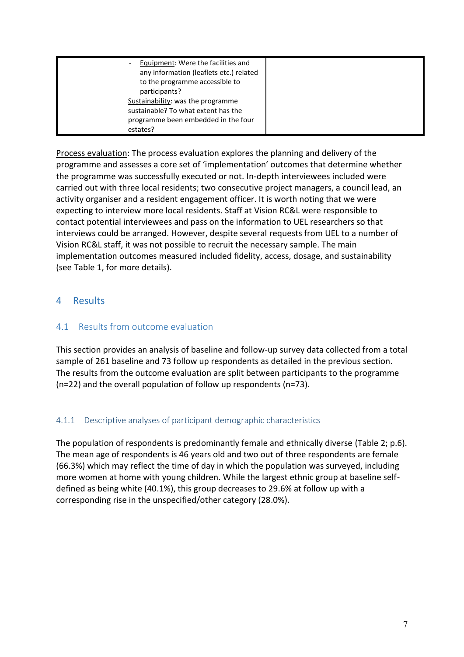| Equipment: Were the facilities and      |  |
|-----------------------------------------|--|
| any information (leaflets etc.) related |  |
| to the programme accessible to          |  |
| participants?                           |  |
| Sustainability: was the programme       |  |
| sustainable? To what extent has the     |  |
| programme been embedded in the four     |  |
| estates?                                |  |

Process evaluation: The process evaluation explores the planning and delivery of the programme and assesses a core set of 'implementation' outcomes that determine whether the programme was successfully executed or not. In-depth interviewees included were carried out with three local residents; two consecutive project managers, a council lead, an activity organiser and a resident engagement officer. It is worth noting that we were expecting to interview more local residents. Staff at Vision RC&L were responsible to contact potential interviewees and pass on the information to UEL researchers so that interviews could be arranged. However, despite several requests from UEL to a number of Vision RC&L staff, it was not possible to recruit the necessary sample. The main implementation outcomes measured included fidelity, access, dosage, and sustainability (see [Table 1,](#page-6-0) for more details).

## <span id="page-7-0"></span>4 Results

## <span id="page-7-1"></span>4.1 Results from outcome evaluation

This section provides an analysis of baseline and follow-up survey data collected from a total sample of 261 baseline and 73 follow up respondents as detailed in the previous section. The results from the outcome evaluation are split between participants to the programme (n=22) and the overall population of follow up respondents (n=73).

## <span id="page-7-2"></span>4.1.1 Descriptive analyses of participant demographic characteristics

The population of respondents is predominantly female and ethnically diverse [\(Table 2;](#page-8-1) p[.6\)](#page-6-0). The mean age of respondents is 46 years old and two out of three respondents are female (66.3%) which may reflect the time of day in which the population was surveyed, including more women at home with young children. While the largest ethnic group at baseline selfdefined as being white (40.1%), this group decreases to 29.6% at follow up with a corresponding rise in the unspecified/other category (28.0%).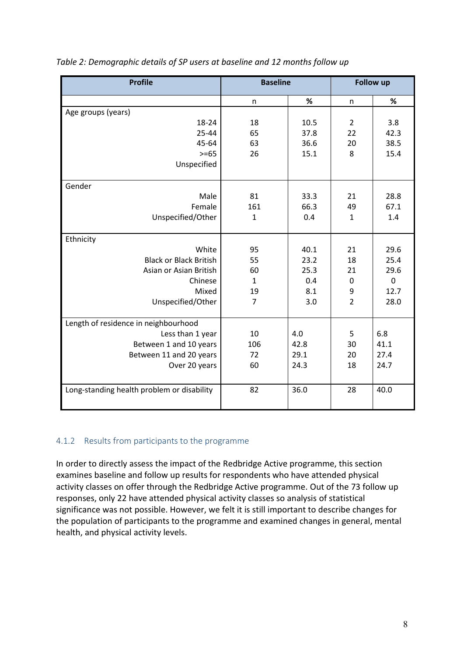| <b>Profile</b>                             | <b>Baseline</b> |      | <b>Follow up</b> |             |
|--------------------------------------------|-----------------|------|------------------|-------------|
|                                            | n               | %    | n                | %           |
| Age groups (years)                         |                 |      |                  |             |
| 18-24                                      | 18              | 10.5 | $\overline{2}$   | 3.8         |
| 25-44                                      | 65              | 37.8 | 22               | 42.3        |
| 45-64                                      | 63              | 36.6 | 20               | 38.5        |
| $>= 65$                                    | 26              | 15.1 | 8                | 15.4        |
| Unspecified                                |                 |      |                  |             |
| Gender                                     |                 |      |                  |             |
| Male                                       | 81              | 33.3 | 21               | 28.8        |
| Female                                     | 161             | 66.3 | 49               | 67.1        |
| Unspecified/Other                          | $\mathbf{1}$    | 0.4  | $\mathbf{1}$     | 1.4         |
| Ethnicity                                  |                 |      |                  |             |
| White                                      | 95              | 40.1 | 21               | 29.6        |
| <b>Black or Black British</b>              | 55              | 23.2 | 18               | 25.4        |
| Asian or Asian British                     | 60              | 25.3 | 21               | 29.6        |
| Chinese                                    | $\mathbf{1}$    | 0.4  | $\mathbf 0$      | $\mathbf 0$ |
| Mixed                                      | 19              | 8.1  | 9                | 12.7        |
| Unspecified/Other                          | $\overline{7}$  | 3.0  | $\overline{2}$   | 28.0        |
| Length of residence in neighbourhood       |                 |      |                  |             |
| Less than 1 year                           | 10              | 4.0  | 5                | 6.8         |
| Between 1 and 10 years                     | 106             | 42.8 | 30               | 41.1        |
| Between 11 and 20 years                    | 72              | 29.1 | 20               | 27.4        |
| Over 20 years                              | 60              | 24.3 | 18               | 24.7        |
|                                            |                 |      |                  |             |
| Long-standing health problem or disability | 82              | 36.0 | 28               | 40.0        |

#### <span id="page-8-1"></span>*Table 2: Demographic details of SP users at baseline and 12 months follow up*

#### <span id="page-8-0"></span>4.1.2 Results from participants to the programme

In order to directly assess the impact of the Redbridge Active programme, this section examines baseline and follow up results for respondents who have attended physical activity classes on offer through the Redbridge Active programme. Out of the 73 follow up responses, only 22 have attended physical activity classes so analysis of statistical significance was not possible. However, we felt it is still important to describe changes for the population of participants to the programme and examined changes in general, mental health, and physical activity levels.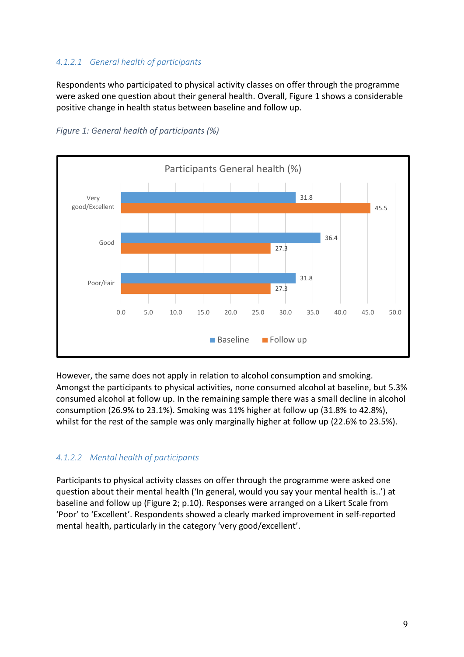### <span id="page-9-0"></span>*4.1.2.1 General health of participants*

Respondents who participated to physical activity classes on offer through the programme were asked one question about their general health. Overall, [Figure 1](#page-9-2) shows a considerable positive change in health status between baseline and follow up.



<span id="page-9-2"></span>*Figure 1: General health of participants (%)*

However, the same does not apply in relation to alcohol consumption and smoking. Amongst the participants to physical activities, none consumed alcohol at baseline, but 5.3% consumed alcohol at follow up. In the remaining sample there was a small decline in alcohol consumption (26.9% to 23.1%). Smoking was 11% higher at follow up (31.8% to 42.8%), whilst for the rest of the sample was only marginally higher at follow up (22.6% to 23.5%).

#### <span id="page-9-1"></span>*4.1.2.2 Mental health of participants*

Participants to physical activity classes on offer through the programme were asked one question about their mental health ('In general, would you say your mental health is..') at baseline and follow up [\(Figure 2;](#page-10-1) p[.10\)](#page-10-1). Responses were arranged on a Likert Scale from 'Poor' to 'Excellent'. Respondents showed a clearly marked improvement in self-reported mental health, particularly in the category 'very good/excellent'.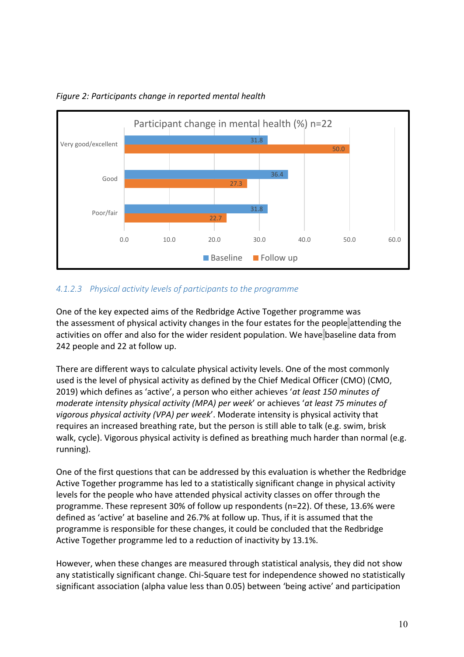

<span id="page-10-1"></span>*Figure 2: Participants change in reported mental health*

### <span id="page-10-0"></span>*4.1.2.3 Physical activity levels of participants to the programme*

One of the key expected aims of the Redbridge Active Together programme was the assessment of physical activity changes in the four estates for the people attending the activities on offer and also for the wider resident population. We have baseline data from 242 people and 22 at follow up.

There are different ways to calculate physical activity levels. One of the most commonly used is the level of physical activity as defined by the Chief Medical Officer (CMO) (CMO, 2019) which defines as 'active', a person who either achieves '*at least 150 minutes of moderate intensity physical activity (MPA) per week*' or achieves '*at least 75 minutes of vigorous physical activity (VPA) per week*'. Moderate intensity is physical activity that requires an increased breathing rate, but the person is still able to talk (e.g. swim, brisk walk, cycle). Vigorous physical activity is defined as breathing much harder than normal (e.g. running).

One of the first questions that can be addressed by this evaluation is whether the Redbridge Active Together programme has led to a statistically significant change in physical activity levels for the people who have attended physical activity classes on offer through the programme. These represent 30% of follow up respondents (n=22). Of these, 13.6% were defined as 'active' at baseline and 26.7% at follow up. Thus, if it is assumed that the programme is responsible for these changes, it could be concluded that the Redbridge Active Together programme led to a reduction of inactivity by 13.1%.

However, when these changes are measured through statistical analysis, they did not show any statistically significant change. Chi-Square test for independence showed no statistically significant association (alpha value less than 0.05) between 'being active' and participation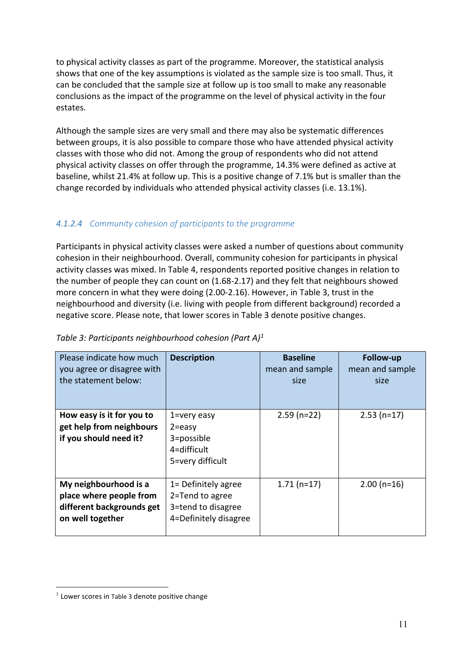to physical activity classes as part of the programme. Moreover, the statistical analysis shows that one of the key assumptions is violated as the sample size is too small. Thus, it can be concluded that the sample size at follow up is too small to make any reasonable conclusions as the impact of the programme on the level of physical activity in the four estates.

Although the sample sizes are very small and there may also be systematic differences between groups, it is also possible to compare those who have attended physical activity classes with those who did not. Among the group of respondents who did not attend physical activity classes on offer through the programme, 14.3% were defined as active at baseline, whilst 21.4% at follow up. This is a positive change of 7.1% but is smaller than the change recorded by individuals who attended physical activity classes (i.e. 13.1%).

## <span id="page-11-0"></span>*4.1.2.4 Community cohesion of participants to the programme*

Participants in physical activity classes were asked a number of questions about community cohesion in their neighbourhood. Overall, community cohesion for participants in physical activity classes was mixed. In [Table 4,](#page-12-1) respondents reported positive changes in relation to the number of people they can count on (1.68-2.17) and they felt that neighbours showed more concern in what they were doing (2.00-2.16). However, in [Table 3,](#page-11-1) trust in the neighbourhood and diversity (i.e. living with people from different background) recorded a negative score. Please note, that lower scores in [Table 3](#page-11-1) denote positive changes.

| Please indicate how much<br>you agree or disagree with<br>the statement below:                    | <b>Description</b>                                                                    | <b>Baseline</b><br>mean and sample<br>size | Follow-up<br>mean and sample<br>size |
|---------------------------------------------------------------------------------------------------|---------------------------------------------------------------------------------------|--------------------------------------------|--------------------------------------|
| How easy is it for you to<br>get help from neighbours<br>if you should need it?                   | 1=very easy<br>$2 = e$ asy<br>3=possible<br>4=difficult<br>5=very difficult           | $2.59$ (n=22)                              | $2.53$ (n=17)                        |
| My neighbourhood is a<br>place where people from<br>different backgrounds get<br>on well together | 1= Definitely agree<br>2=Tend to agree<br>3=tend to disagree<br>4=Definitely disagree | $1.71(n=17)$                               | $2.00(n=16)$                         |

#### <span id="page-11-1"></span>*Table 3: Participants neighbourhood cohesion (Part A)<sup>1</sup>*

<sup>&</sup>lt;sup>1</sup> Lower scores in [Table 3](#page-11-1) denote positive change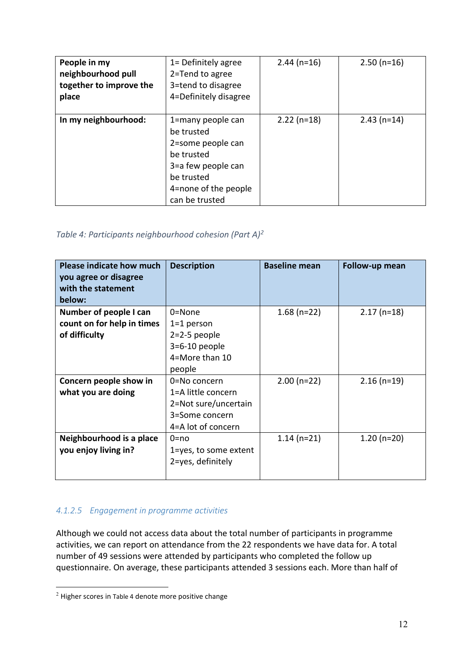| People in my<br>neighbourhood pull<br>together to improve the<br>place | 1= Definitely agree<br>2=Tend to agree<br>3=tend to disagree<br>4=Definitely disagree                                                            | $2.44$ (n=16) | $2.50(n=16)$  |
|------------------------------------------------------------------------|--------------------------------------------------------------------------------------------------------------------------------------------------|---------------|---------------|
| In my neighbourhood:                                                   | 1=many people can<br>be trusted<br>2=some people can<br>be trusted<br>3=a few people can<br>be trusted<br>4=none of the people<br>can be trusted | $2.22$ (n=18) | $2.43$ (n=14) |

## <span id="page-12-1"></span>*Table 4: Participants neighbourhood cohesion (Part A)<sup>2</sup>*

| <b>Please indicate how much</b><br>you agree or disagree<br>with the statement<br>below: | <b>Description</b>    | <b>Baseline mean</b> | Follow-up mean |
|------------------------------------------------------------------------------------------|-----------------------|----------------------|----------------|
| Number of people I can                                                                   | $0 = None$            | $1.68$ (n=22)        | $2.17$ (n=18)  |
| count on for help in times                                                               | $1=1$ person          |                      |                |
| of difficulty                                                                            | $2=2-5$ people        |                      |                |
|                                                                                          | $3=6-10$ people       |                      |                |
|                                                                                          | 4=More than 10        |                      |                |
|                                                                                          | people                |                      |                |
| Concern people show in                                                                   | 0=No concern          | $2.00(n=22)$         | $2.16$ (n=19)  |
| what you are doing                                                                       | 1=A little concern    |                      |                |
|                                                                                          | 2=Not sure/uncertain  |                      |                |
|                                                                                          | 3=Some concern        |                      |                |
|                                                                                          | 4=A lot of concern    |                      |                |
| Neighbourhood is a place                                                                 | $0 = no$              | $1.14(n=21)$         | $1.20(n=20)$   |
| you enjoy living in?                                                                     | 1=yes, to some extent |                      |                |
|                                                                                          | 2=yes, definitely     |                      |                |
|                                                                                          |                       |                      |                |

## <span id="page-12-0"></span>*4.1.2.5 Engagement in programme activities*

Although we could not access data about the total number of participants in programme activities, we can report on attendance from the 22 respondents we have data for. A total number of 49 sessions were attended by participants who completed the follow up questionnaire. On average, these participants attended 3 sessions each. More than half of

<sup>2</sup> Higher scores in [Table 4](#page-12-1) denote more positive change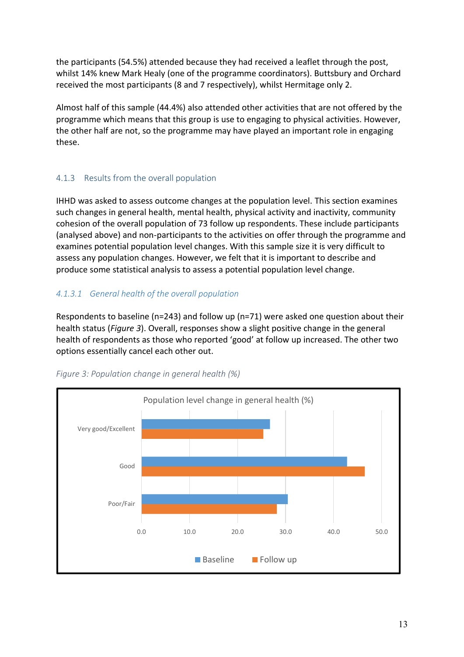the participants (54.5%) attended because they had received a leaflet through the post, whilst 14% knew Mark Healy (one of the programme coordinators). Buttsbury and Orchard received the most participants (8 and 7 respectively), whilst Hermitage only 2.

Almost half of this sample (44.4%) also attended other activities that are not offered by the programme which means that this group is use to engaging to physical activities. However, the other half are not, so the programme may have played an important role in engaging these.

## <span id="page-13-0"></span>4.1.3 Results from the overall population

IHHD was asked to assess outcome changes at the population level. This section examines such changes in general health, mental health, physical activity and inactivity, community cohesion of the overall population of 73 follow up respondents. These include participants (analysed above) and non-participants to the activities on offer through the programme and examines potential population level changes. With this sample size it is very difficult to assess any population changes. However, we felt that it is important to describe and produce some statistical analysis to assess a potential population level change.

## <span id="page-13-1"></span>*4.1.3.1 General health of the overall population*

Respondents to baseline (n=243) and follow up (n=71) were asked one question about their health status (*[Figure](#page-13-2) 3*). Overall, responses show a slight positive change in the general health of respondents as those who reported 'good' at follow up increased. The other two options essentially cancel each other out.



#### <span id="page-13-2"></span>*Figure 3: Population change in general health (%)*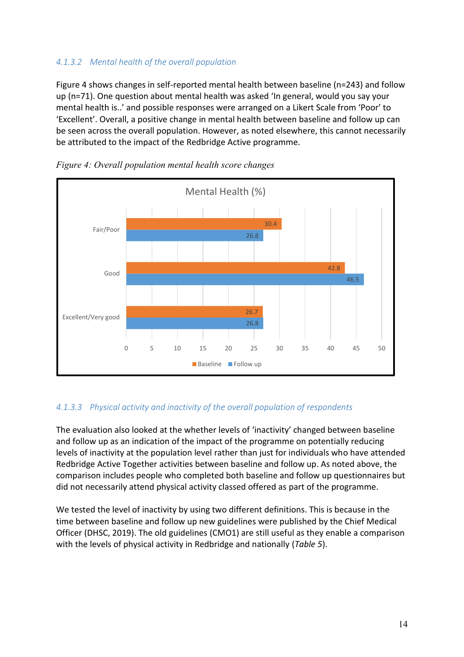## <span id="page-14-0"></span>*4.1.3.2 Mental health of the overall population*

[Figure 4](#page-14-2) shows changes in self-reported mental health between baseline (n=243) and follow up (n=71). One question about mental health was asked 'In general, would you say your mental health is..' and possible responses were arranged on a Likert Scale from 'Poor' to 'Excellent'. Overall, a positive change in mental health between baseline and follow up can be seen across the overall population. However, as noted elsewhere, this cannot necessarily be attributed to the impact of the Redbridge Active programme.



<span id="page-14-2"></span>*Figure 4: Overall population mental health score changes*

## <span id="page-14-1"></span>*4.1.3.3 Physical activity and inactivity of the overall population of respondents*

The evaluation also looked at the whether levels of 'inactivity' changed between baseline and follow up as an indication of the impact of the programme on potentially reducing levels of inactivity at the population level rather than just for individuals who have attended Redbridge Active Together activities between baseline and follow up. As noted above, the comparison includes people who completed both baseline and follow up questionnaires but did not necessarily attend physical activity classed offered as part of the programme.

We tested the level of inactivity by using two different definitions. This is because in the time between baseline and follow up new guidelines were published by the Chief Medical Officer (DHSC, 2019). The old guidelines (CMO1) are still useful as they enable a comparison with the levels of physical activity in Redbridge and nationally (*[Table 5](#page-15-0)*).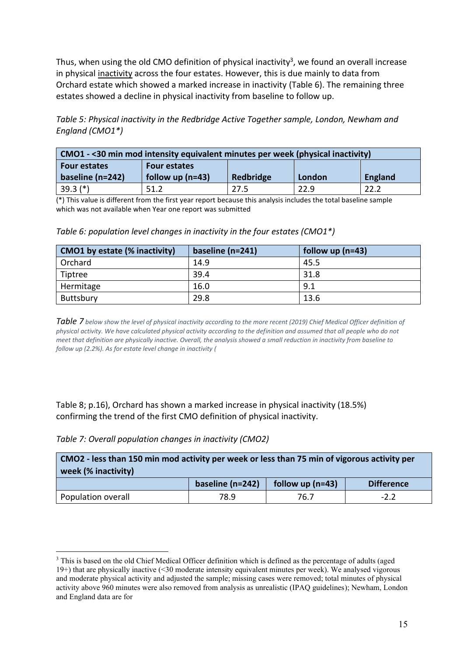Thus, when using the old CMO definition of physical inactivity<sup>3</sup>, we found an overall increase in physical inactivity across the four estates. However, this is due mainly to data from Orchard estate which showed a marked increase in inactivity [\(Table 6\)](#page-15-1). The remaining three estates showed a decline in physical inactivity from baseline to follow up.

<span id="page-15-0"></span>*Table 5: Physical inactivity in the Redbridge Active Together sample, London, Newham and England (CMO1\*)*

| CMO1 - < 30 min mod intensity equivalent minutes per week (physical inactivity) |                    |           |        |                |  |  |
|---------------------------------------------------------------------------------|--------------------|-----------|--------|----------------|--|--|
| <b>Four estates</b><br><b>Four estates</b>                                      |                    |           |        |                |  |  |
| baseline (n=242)                                                                | follow up $(n=43)$ | Redbridge | London | <b>England</b> |  |  |
|                                                                                 |                    |           |        |                |  |  |

(\*) This value is different from the first year report because this analysis includes the total baseline sample which was not available when Year one report was submitted

<span id="page-15-1"></span>

| Table 6: population level changes in inactivity in the four estates (CMO1*) |  |  |  |
|-----------------------------------------------------------------------------|--|--|--|
|-----------------------------------------------------------------------------|--|--|--|

| CMO1 by estate (% inactivity) | baseline $(n=241)$ | follow up $(n=43)$ |
|-------------------------------|--------------------|--------------------|
| Orchard                       | 14.9               | 45.5               |
| Tiptree                       | 39.4               | 31.8               |
| Hermitage                     | 16.0               | 9.1                |
| Buttsbury                     | 29.8               | 13.6               |

*[Table 7](#page-15-2) below show the level of physical inactivity according to the more recent (2019) Chief Medical Officer definition of physical activity. We have calculated physical activity according to the definition and assumed that all people who do not meet that definition are physically inactive. Overall, the analysis showed a small reduction in inactivity from baseline to follow up (2.2%). As for estate level change in inactivity [\(](#page-15-3)*

[Table 8;](#page-15-3) p[.16\)](#page-15-3), Orchard has shown a marked increase in physical inactivity (18.5%) confirming the trend of the first CMO definition of physical inactivity.

<span id="page-15-2"></span>

| Table 7: Overall population changes in inactivity (CMO2) |  |  |  |  |
|----------------------------------------------------------|--|--|--|--|
|----------------------------------------------------------|--|--|--|--|

| CMO <sub>2</sub> - less than 150 min mod activity per week or less than 75 min of vigorous activity per |  |  |  |  |  |  |
|---------------------------------------------------------------------------------------------------------|--|--|--|--|--|--|
| week (% inactivity)                                                                                     |  |  |  |  |  |  |
| baseline (n=242)<br>follow up $(n=43)$<br><b>Difference</b>                                             |  |  |  |  |  |  |
| Population overall<br>78.9<br>$-2.2$<br>76.7                                                            |  |  |  |  |  |  |

<span id="page-15-3"></span><sup>3</sup> This is based on the old Chief Medical Officer definition which is defined as the percentage of adults (aged 19+) that are physically inactive (<30 moderate intensity equivalent minutes per week). We analysed vigorous and moderate physical activity and adjusted the sample; missing cases were removed; total minutes of physical activity above 960 minutes were also removed from analysis as unrealistic (IPAQ guidelines); Newham, London and England data are for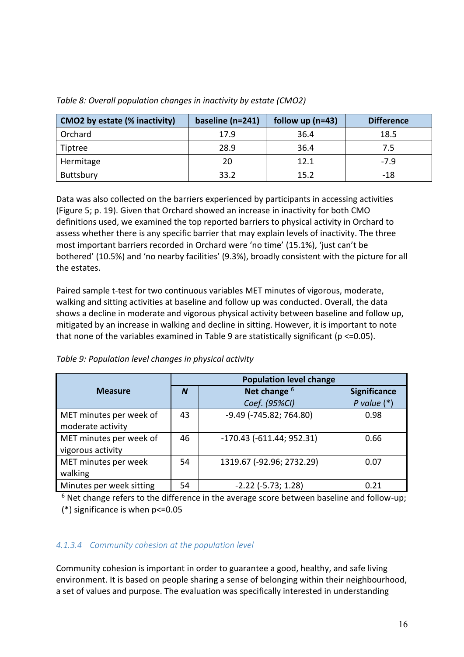| CMO2 by estate (% inactivity) | baseline (n=241) | follow up $(n=43)$ | <b>Difference</b> |
|-------------------------------|------------------|--------------------|-------------------|
| Orchard                       | 17.9             | 36.4               | 18.5              |
| Tiptree                       | 28.9             | 36.4               | 7.5               |
| Hermitage                     | 20               | 12.1               | $-7.9$            |
| Buttsbury                     | 33.2             | 15.2               | -18               |

<span id="page-16-1"></span>*Table 8: Overall population changes in inactivity by estate (CMO2)*

Data was also collected on the barriers experienced by participants in accessing activities [\(Figure 5;](#page-19-0) p. [19\)](#page-19-0). Given that Orchard showed an increase in inactivity for both CMO definitions used, we examined the top reported barriers to physical activity in Orchard to assess whether there is any specific barrier that may explain levels of inactivity. The three most important barriers recorded in Orchard were 'no time' (15.1%), 'just can't be bothered' (10.5%) and 'no nearby facilities' (9.3%), broadly consistent with the picture for all the estates.

Paired sample t-test for two continuous variables MET minutes of vigorous, moderate, walking and sitting activities at baseline and follow up was conducted. Overall, the data shows a decline in moderate and vigorous physical activity between baseline and follow up, mitigated by an increase in walking and decline in sitting. However, it is important to note that none of the variables examined in [Table 9](#page-16-2) are statistically significant ( $p \le 0.05$ ).

<span id="page-16-2"></span>

|                          | <b>Population level change</b> |                                 |                     |
|--------------------------|--------------------------------|---------------------------------|---------------------|
| <b>Measure</b>           | Net change <sup>6</sup><br>N   |                                 | <b>Significance</b> |
|                          |                                | Coef. (95%CI)                   | P value $(*)$       |
| MET minutes per week of  | 43                             | $-9.49$ ( $-745.82$ ; 764.80)   | 0.98                |
| moderate activity        |                                |                                 |                     |
| MET minutes per week of  | 46                             | $-170.43$ ( $-611.44$ ; 952.31) | 0.66                |
| vigorous activity        |                                |                                 |                     |
| MET minutes per week     | 54                             | 1319.67 (-92.96; 2732.29)       | 0.07                |
| walking                  |                                |                                 |                     |
| Minutes per week sitting | 54                             | $-2.22$ ( $-5.73$ ; 1.28)       | 0.21                |

<sup>6</sup> Net change refers to the difference in the average score between baseline and follow-up; (\*) significance is when p<=0.05

## <span id="page-16-0"></span>*4.1.3.4 Community cohesion at the population level*

Community cohesion is important in order to guarantee a good, healthy, and safe living environment. It is based on people sharing a sense of belonging within their neighbourhood, a set of values and purpose. The evaluation was specifically interested in understanding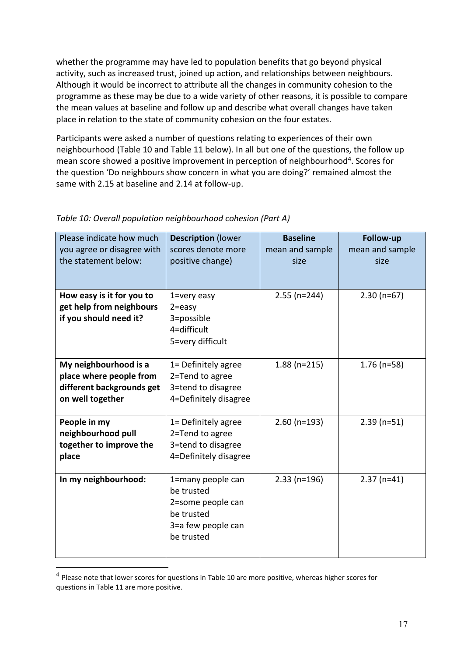whether the programme may have led to population benefits that go beyond physical activity, such as increased trust, joined up action, and relationships between neighbours. Although it would be incorrect to attribute all the changes in community cohesion to the programme as these may be due to a wide variety of other reasons, it is possible to compare the mean values at baseline and follow up and describe what overall changes have taken place in relation to the state of community cohesion on the four estates.

Participants were asked a number of questions relating to experiences of their own neighbourhood [\(Table 10](#page-17-0) and [Table 11](#page-18-1) below). In all but one of the questions, the follow up mean score showed a positive improvement in perception of neighbourhood<sup>4</sup>. Scores for the question 'Do neighbours show concern in what you are doing?' remained almost the same with 2.15 at baseline and 2.14 at follow-up.

| Please indicate how much<br>you agree or disagree with<br>the statement below:                    | <b>Description (lower</b><br>scores denote more<br>positive change)                                    | <b>Baseline</b><br>mean and sample<br>size | Follow-up<br>mean and sample<br>size |
|---------------------------------------------------------------------------------------------------|--------------------------------------------------------------------------------------------------------|--------------------------------------------|--------------------------------------|
| How easy is it for you to<br>get help from neighbours<br>if you should need it?                   | 1=very easy<br>$2 = e$ asy<br>3=possible<br>4=difficult<br>5=very difficult                            | $2.55$ (n=244)                             | $2.30(n=67)$                         |
| My neighbourhood is a<br>place where people from<br>different backgrounds get<br>on well together | 1= Definitely agree<br>2=Tend to agree<br>3=tend to disagree<br>4=Definitely disagree                  | $1.88$ (n=215)                             | $1.76$ (n=58)                        |
| People in my<br>neighbourhood pull<br>together to improve the<br>place                            | 1= Definitely agree<br>2=Tend to agree<br>3=tend to disagree<br>4=Definitely disagree                  | $2.60$ (n=193)                             | $2.39$ (n=51)                        |
| In my neighbourhood:                                                                              | 1=many people can<br>be trusted<br>2=some people can<br>be trusted<br>3=a few people can<br>be trusted | $2.33$ (n=196)                             | $2.37$ (n=41)                        |

### <span id="page-17-0"></span>*Table 10: Overall population neighbourhood cohesion (Part A)*

 $<sup>4</sup>$  Please note that lower scores for questions i[n Table 10](#page-17-0) are more positive, whereas higher scores for</sup> questions i[n Table 11](#page-18-1) are more positive.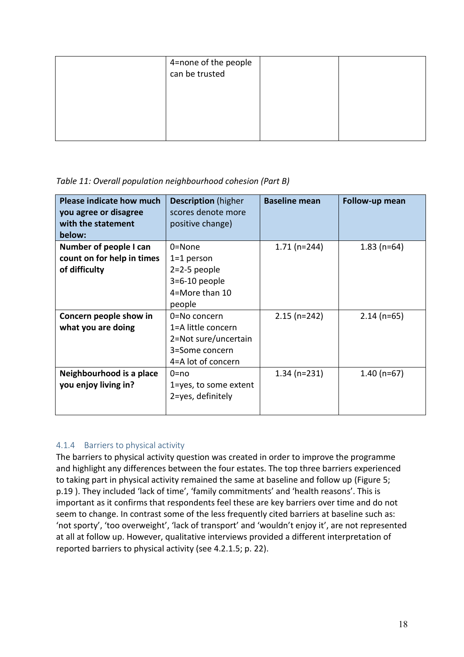| 4=none of the people<br>can be trusted |  |
|----------------------------------------|--|
|                                        |  |
|                                        |  |

#### <span id="page-18-1"></span>*Table 11: Overall population neighbourhood cohesion (Part B)*

| <b>Please indicate how much</b><br>you agree or disagree<br>with the statement<br>below: | <b>Description</b> (higher<br>scores denote more<br>positive change)                               | <b>Baseline mean</b> | Follow-up mean |
|------------------------------------------------------------------------------------------|----------------------------------------------------------------------------------------------------|----------------------|----------------|
| Number of people I can<br>count on for help in times<br>of difficulty                    | $0 = None$<br>$1=1$ person<br>$2=2-5$ people<br>$3=6-10$ people<br>4=More than 10<br>people        | $1.71(n=244)$        | $1.83$ (n=64)  |
| Concern people show in<br>what you are doing                                             | 0=No concern<br>1=A little concern<br>2=Not sure/uncertain<br>3=Some concern<br>4=A lot of concern | $2.15$ (n=242)       | $2.14$ (n=65)  |
| Neighbourhood is a place<br>you enjoy living in?                                         | $0 = nQ$<br>1=yes, to some extent<br>2=yes, definitely                                             | $1.34$ (n=231)       | $1.40$ (n=67)  |

#### <span id="page-18-0"></span>4.1.4 Barriers to physical activity

The barriers to physical activity question was created in order to improve the programme and highlight any differences between the four estates. The top three barriers experienced to taking part in physical activity remained the same at baseline and follow up [\(Figure 5;](#page-19-0) p[.19](#page-19-0) ). They included 'lack of time', 'family commitments' and 'health reasons'. This is important as it confirms that respondents feel these are key barriers over time and do not seem to change. In contrast some of the less frequently cited barriers at baseline such as: 'not sporty', 'too overweight', 'lack of transport' and 'wouldn't enjoy it', are not represented at all at follow up. However, qualitative interviews provided a different interpretation of reported barriers to physical activity (see [4.2.1.5;](#page-22-2) p. [22\)](#page-22-2).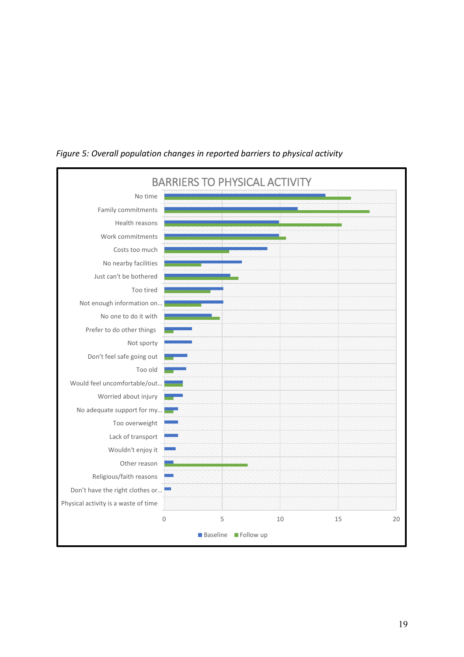

<span id="page-19-0"></span>*Figure 5: Overall population changes in reported barriers to physical activity*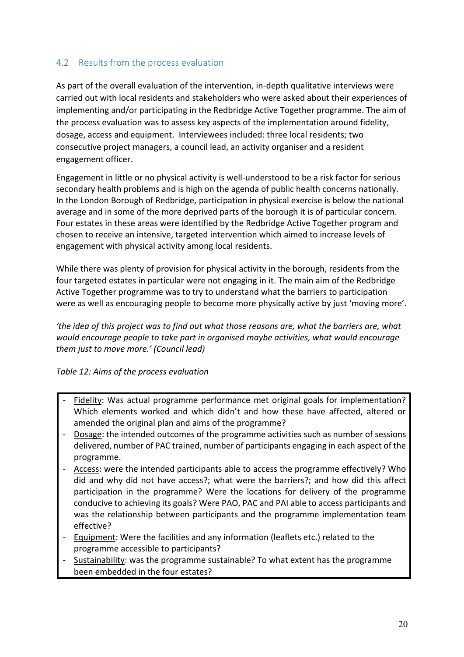## <span id="page-20-0"></span>4.2 Results from the process evaluation

As part of the overall evaluation of the intervention, in-depth qualitative interviews were carried out with local residents and stakeholders who were asked about their experiences of implementing and/or participating in the Redbridge Active Together programme. The aim of the process evaluation was to assess key aspects of the implementation around fidelity, dosage, access and equipment. Interviewees included: three local residents; two consecutive project managers, a council lead, an activity organiser and a resident engagement officer.

Engagement in little or no physical activity is well-understood to be a risk factor for serious secondary health problems and is high on the agenda of public health concerns nationally. In the London Borough of Redbridge, participation in physical exercise is below the national average and in some of the more deprived parts of the borough it is of particular concern. Four estates in these areas were identified by the Redbridge Active Together program and chosen to receive an intensive, targeted intervention which aimed to increase levels of engagement with physical activity among local residents.

While there was plenty of provision for physical activity in the borough, residents from the four targeted estates in particular were not engaging in it. The main aim of the Redbridge Active Together programme was to try to understand what the barriers to participation were as well as encouraging people to become more physically active by just 'moving more'.

*'the idea of this project was to find out what those reasons are, what the barriers are, what would encourage people to take part in organised maybe activities, what would encourage them just to move more.' (Council lead)*

#### <span id="page-20-1"></span>*Table 12: Aims of the process evaluation*

- Fidelity: Was actual programme performance met original goals for implementation? Which elements worked and which didn't and how these have affected, altered or amended the original plan and aims of the programme?
- Dosage: the intended outcomes of the programme activities such as number of sessions delivered, number of PAC trained, number of participants engaging in each aspect of the programme.
- Access: were the intended participants able to access the programme effectively? Who did and why did not have access?; what were the barriers?; and how did this affect participation in the programme? Were the locations for delivery of the programme conducive to achieving its goals? Were PAO, PAC and PAI able to access participants and was the relationship between participants and the programme implementation team effective?
- Equipment: Were the facilities and any information (leaflets etc.) related to the programme accessible to participants?
- Sustainability: was the programme sustainable? To what extent has the programme been embedded in the four estates?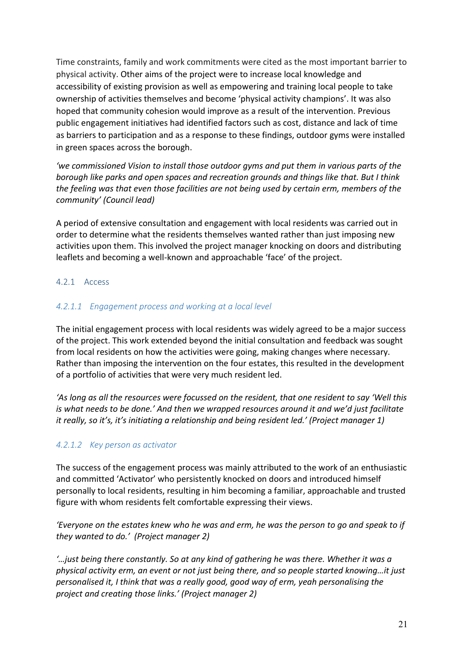Time constraints, family and work commitments were cited as the most important barrier to physical activity. Other aims of the project were to increase local knowledge and accessibility of existing provision as well as empowering and training local people to take ownership of activities themselves and become 'physical activity champions'. It was also hoped that community cohesion would improve as a result of the intervention. Previous public engagement initiatives had identified factors such as cost, distance and lack of time as barriers to participation and as a response to these findings, outdoor gyms were installed in green spaces across the borough.

*'we commissioned Vision to install those outdoor gyms and put them in various parts of the borough like parks and open spaces and recreation grounds and things like that. But I think the feeling was that even those facilities are not being used by certain erm, members of the community' (Council lead)*

A period of extensive consultation and engagement with local residents was carried out in order to determine what the residents themselves wanted rather than just imposing new activities upon them. This involved the project manager knocking on doors and distributing leaflets and becoming a well-known and approachable 'face' of the project.

#### <span id="page-21-0"></span>4.2.1 Access

#### <span id="page-21-1"></span>*4.2.1.1 Engagement process and working at a local level*

The initial engagement process with local residents was widely agreed to be a major success of the project. This work extended beyond the initial consultation and feedback was sought from local residents on how the activities were going, making changes where necessary. Rather than imposing the intervention on the four estates, this resulted in the development of a portfolio of activities that were very much resident led.

*'As long as all the resources were focussed on the resident, that one resident to say 'Well this is what needs to be done.' And then we wrapped resources around it and we'd just facilitate it really, so it's, it's initiating a relationship and being resident led.' (Project manager 1)* 

#### <span id="page-21-2"></span>*4.2.1.2 Key person as activator*

The success of the engagement process was mainly attributed to the work of an enthusiastic and committed 'Activator' who persistently knocked on doors and introduced himself personally to local residents, resulting in him becoming a familiar, approachable and trusted figure with whom residents felt comfortable expressing their views.

*'Everyone on the estates knew who he was and erm, he was the person to go and speak to if they wanted to do.' (Project manager 2)*

*'…just being there constantly. So at any kind of gathering he was there. Whether it was a physical activity erm, an event or not just being there, and so people started knowing…it just personalised it, I think that was a really good, good way of erm, yeah personalising the project and creating those links.' (Project manager 2)*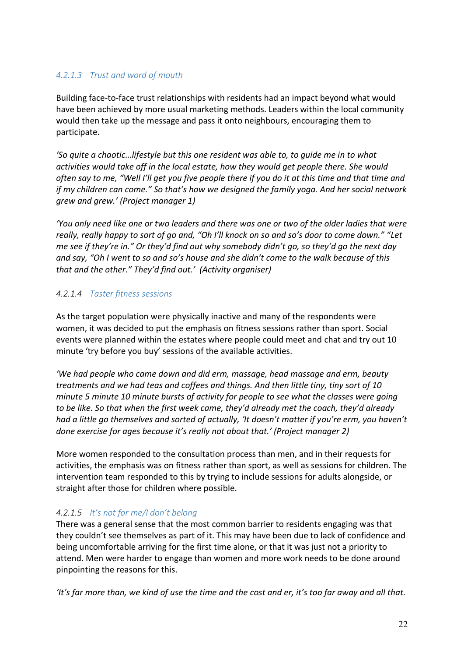### <span id="page-22-0"></span>*4.2.1.3 Trust and word of mouth*

Building face-to-face trust relationships with residents had an impact beyond what would have been achieved by more usual marketing methods. Leaders within the local community would then take up the message and pass it onto neighbours, encouraging them to participate.

*'So quite a chaotic…lifestyle but this one resident was able to, to guide me in to what activities would take off in the local estate, how they would get people there. She would often say to me, "Well I'll get you five people there if you do it at this time and that time and if my children can come." So that's how we designed the family yoga. And her social network grew and grew.' (Project manager 1)*

*'You only need like one or two leaders and there was one or two of the older ladies that were really, really happy to sort of go and, "Oh I'll knock on so and so's door to come down." "Let me see if they're in." Or they'd find out why somebody didn't go, so they'd go the next day and say, "Oh I went to so and so's house and she didn't come to the walk because of this that and the other." They'd find out.' (Activity organiser)*

#### <span id="page-22-1"></span>*4.2.1.4 Taster fitness sessions*

As the target population were physically inactive and many of the respondents were women, it was decided to put the emphasis on fitness sessions rather than sport. Social events were planned within the estates where people could meet and chat and try out 10 minute 'try before you buy' sessions of the available activities.

*'We had people who came down and did erm, massage, head massage and erm, beauty treatments and we had teas and coffees and things. And then little tiny, tiny sort of 10 minute 5 minute 10 minute bursts of activity for people to see what the classes were going to be like. So that when the first week came, they'd already met the coach, they'd already had a little go themselves and sorted of actually, 'It doesn't matter if you're erm, you haven't done exercise for ages because it's really not about that.' (Project manager 2)*

More women responded to the consultation process than men, and in their requests for activities, the emphasis was on fitness rather than sport, as well as sessions for children. The intervention team responded to this by trying to include sessions for adults alongside, or straight after those for children where possible.

## <span id="page-22-2"></span>*4.2.1.5 It's not for me/I don't belong*

There was a general sense that the most common barrier to residents engaging was that they couldn't see themselves as part of it. This may have been due to lack of confidence and being uncomfortable arriving for the first time alone, or that it was just not a priority to attend. Men were harder to engage than women and more work needs to be done around pinpointing the reasons for this.

*'It's far more than, we kind of use the time and the cost and er, it's too far away and all that.*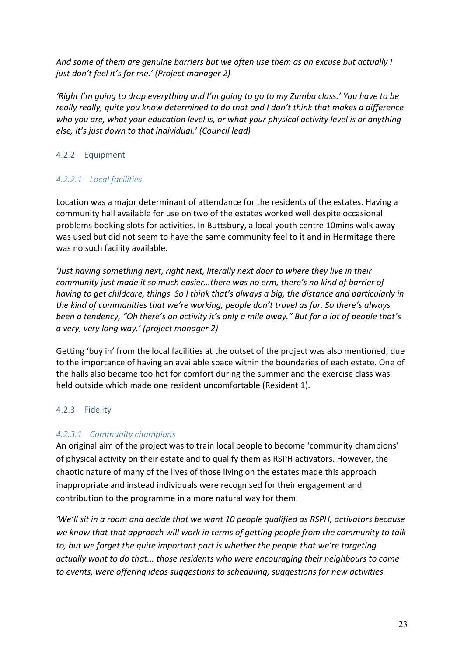*And some of them are genuine barriers but we often use them as an excuse but actually I just don't feel it's for me.' (Project manager 2)*

*'Right I'm going to drop everything and I'm going to go to my Zumba class.' You have to be really really, quite you know determined to do that and I don't think that makes a difference who you are, what your education level is, or what your physical activity level is or anything else, it's just down to that individual.' (Council lead)* 

### <span id="page-23-0"></span>4.2.2 Equipment

### <span id="page-23-1"></span>*4.2.2.1 Local facilities*

Location was a major determinant of attendance for the residents of the estates. Having a community hall available for use on two of the estates worked well despite occasional problems booking slots for activities. In Buttsbury, a local youth centre 10mins walk away was used but did not seem to have the same community feel to it and in Hermitage there was no such facility available.

*'Just having something next, right next, literally next door to where they live in their community just made it so much easier…there was no erm, there's no kind of barrier of having to get childcare, things. So I think that's always a big, the distance and particularly in the kind of communities that we're working, people don't travel as far. So there's always been a tendency, "Oh there's an activity it's only a mile away." But for a lot of people that's a very, very long way.' (project manager 2)*

Getting 'buy in' from the local facilities at the outset of the project was also mentioned, due to the importance of having an available space within the boundaries of each estate. One of the halls also became too hot for comfort during the summer and the exercise class was held outside which made one resident uncomfortable (Resident 1).

#### <span id="page-23-2"></span>4.2.3 Fidelity

#### <span id="page-23-3"></span>*4.2.3.1 Community champions*

An original aim of the project was to train local people to become 'community champions' of physical activity on their estate and to qualify them as RSPH activators. However, the chaotic nature of many of the lives of those living on the estates made this approach inappropriate and instead individuals were recognised for their engagement and contribution to the programme in a more natural way for them.

*'We'll sit in a room and decide that we want 10 people qualified as RSPH, activators because we know that that approach will work in terms of getting people from the community to talk to, but we forget the quite important part is whether the people that we're targeting actually want to do that... those residents who were encouraging their neighbours to come to events, were offering ideas suggestions to scheduling, suggestions for new activities.*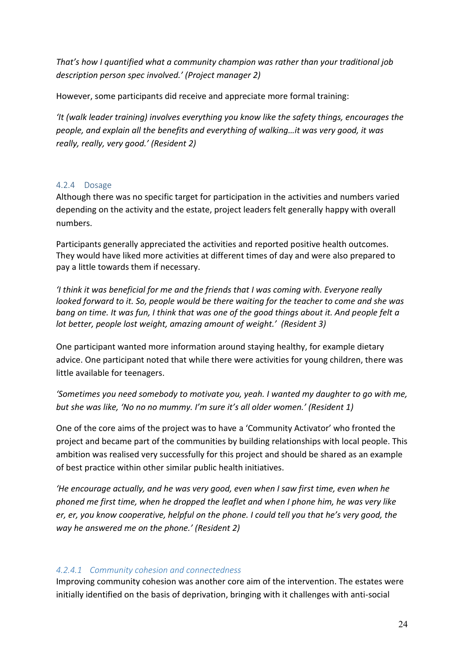*That's how I quantified what a community champion was rather than your traditional job description person spec involved.' (Project manager 2)*

However, some participants did receive and appreciate more formal training:

*'It (walk leader training) involves everything you know like the safety things, encourages the people, and explain all the benefits and everything of walking…it was very good, it was really, really, very good.' (Resident 2)*

#### <span id="page-24-0"></span>4.2.4 Dosage

Although there was no specific target for participation in the activities and numbers varied depending on the activity and the estate, project leaders felt generally happy with overall numbers.

Participants generally appreciated the activities and reported positive health outcomes. They would have liked more activities at different times of day and were also prepared to pay a little towards them if necessary.

*'I think it was beneficial for me and the friends that I was coming with. Everyone really looked forward to it. So, people would be there waiting for the teacher to come and she was bang on time. It was fun, I think that was one of the good things about it. And people felt a lot better, people lost weight, amazing amount of weight.' (Resident 3)*

One participant wanted more information around staying healthy, for example dietary advice. One participant noted that while there were activities for young children, there was little available for teenagers.

*'Sometimes you need somebody to motivate you, yeah. I wanted my daughter to go with me, but she was like, 'No no no mummy. I'm sure it's all older women.' (Resident 1)*

One of the core aims of the project was to have a 'Community Activator' who fronted the project and became part of the communities by building relationships with local people. This ambition was realised very successfully for this project and should be shared as an example of best practice within other similar public health initiatives.

*'He encourage actually, and he was very good, even when I saw first time, even when he phoned me first time, when he dropped the leaflet and when I phone him, he was very like er, er, you know cooperative, helpful on the phone. I could tell you that he's very good, the way he answered me on the phone.' (Resident 2)*

#### <span id="page-24-1"></span>*4.2.4.1 Community cohesion and connectedness*

Improving community cohesion was another core aim of the intervention. The estates were initially identified on the basis of deprivation, bringing with it challenges with anti-social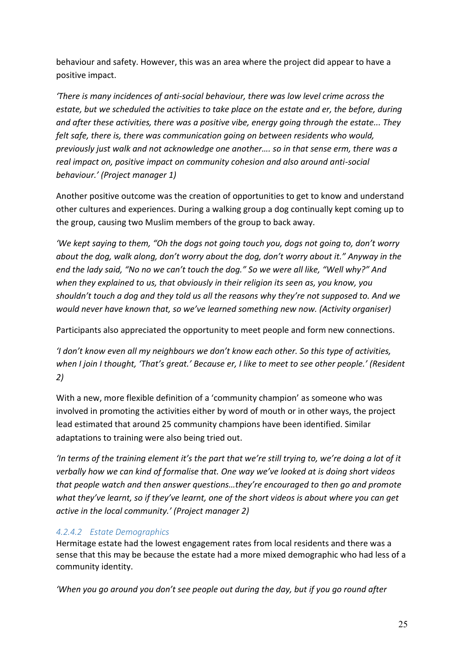behaviour and safety. However, this was an area where the project did appear to have a positive impact.

*'There is many incidences of anti-social behaviour, there was low level crime across the estate, but we scheduled the activities to take place on the estate and er, the before, during and after these activities, there was a positive vibe, energy going through the estate... They felt safe, there is, there was communication going on between residents who would, previously just walk and not acknowledge one another…. so in that sense erm, there was a real impact on, positive impact on community cohesion and also around anti-social behaviour.' (Project manager 1)*

Another positive outcome was the creation of opportunities to get to know and understand other cultures and experiences. During a walking group a dog continually kept coming up to the group, causing two Muslim members of the group to back away.

*'We kept saying to them, "Oh the dogs not going touch you, dogs not going to, don't worry about the dog, walk along, don't worry about the dog, don't worry about it." Anyway in the end the lady said, "No no we can't touch the dog." So we were all like, "Well why?" And when they explained to us, that obviously in their religion its seen as, you know, you shouldn't touch a dog and they told us all the reasons why they're not supposed to. And we would never have known that, so we've learned something new now. (Activity organiser)*

Participants also appreciated the opportunity to meet people and form new connections.

*'I don't know even all my neighbours we don't know each other. So this type of activities, when I join I thought, 'That's great.' Because er, I like to meet to see other people.' (Resident 2)*

With a new, more flexible definition of a 'community champion' as someone who was involved in promoting the activities either by word of mouth or in other ways, the project lead estimated that around 25 community champions have been identified. Similar adaptations to training were also being tried out.

*'In terms of the training element it's the part that we're still trying to, we're doing a lot of it verbally how we can kind of formalise that. One way we've looked at is doing short videos that people watch and then answer questions…they're encouraged to then go and promote what they've learnt, so if they've learnt, one of the short videos is about where you can get active in the local community.' (Project manager 2)*

## <span id="page-25-0"></span>*4.2.4.2 Estate Demographics*

Hermitage estate had the lowest engagement rates from local residents and there was a sense that this may be because the estate had a more mixed demographic who had less of a community identity.

*'When you go around you don't see people out during the day, but if you go round after*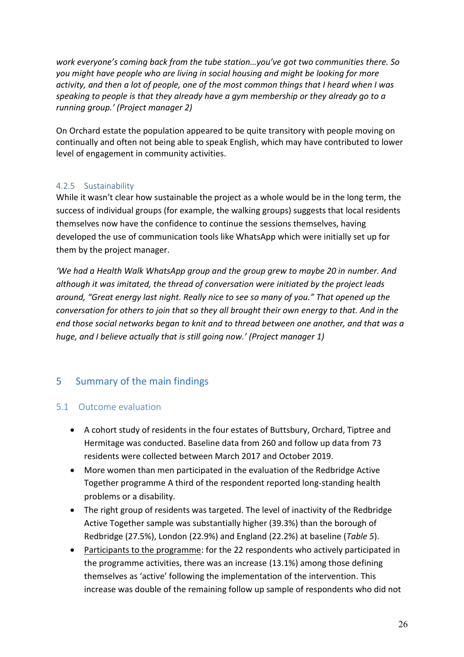*work everyone's coming back from the tube station…you've got two communities there. So you might have people who are living in social housing and might be looking for more activity, and then a lot of people, one of the most common things that I heard when I was speaking to people is that they already have a gym membership or they already go to a running group.' (Project manager 2)*

On Orchard estate the population appeared to be quite transitory with people moving on continually and often not being able to speak English, which may have contributed to lower level of engagement in community activities.

## <span id="page-26-0"></span>4.2.5 Sustainability

While it wasn't clear how sustainable the project as a whole would be in the long term, the success of individual groups (for example, the walking groups) suggests that local residents themselves now have the confidence to continue the sessions themselves, having developed the use of communication tools like WhatsApp which were initially set up for them by the project manager.

*'We had a Health Walk WhatsApp group and the group grew to maybe 20 in number. And although it was imitated, the thread of conversation were initiated by the project leads around, "Great energy last night. Really nice to see so many of you." That opened up the conversation for others to join that so they all brought their own energy to that. And in the end those social networks began to knit and to thread between one another, and that was a huge, and I believe actually that is still going now.' (Project manager 1)*

## <span id="page-26-1"></span>5 Summary of the main findings

## <span id="page-26-2"></span>5.1 Outcome evaluation

- A cohort study of residents in the four estates of Buttsbury, Orchard, Tiptree and Hermitage was conducted. Baseline data from 260 and follow up data from 73 residents were collected between March 2017 and October 2019.
- More women than men participated in the evaluation of the Redbridge Active Together programme A third of the respondent reported long-standing health problems or a disability.
- The right group of residents was targeted. The level of inactivity of the Redbridge Active Together sample was substantially higher (39.3%) than the borough of Redbridge (27.5%), London (22.9%) and England (22.2%) at baseline (*[Table 5](#page-15-0)*).
- Participants to the programme: for the 22 respondents who actively participated in the programme activities, there was an increase (13.1%) among those defining themselves as 'active' following the implementation of the intervention. This increase was double of the remaining follow up sample of respondents who did not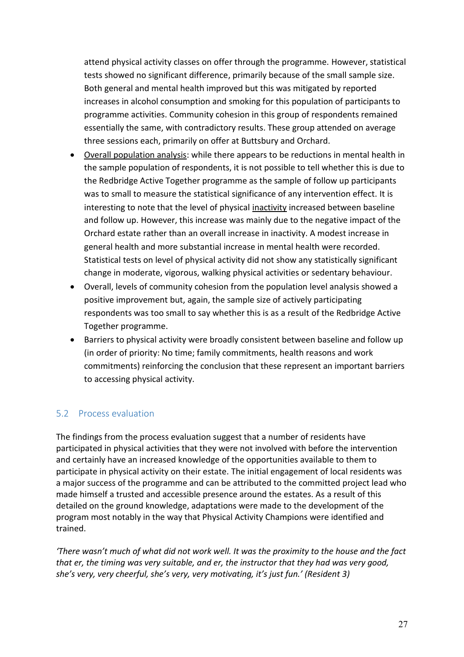attend physical activity classes on offer through the programme. However, statistical tests showed no significant difference, primarily because of the small sample size. Both general and mental health improved but this was mitigated by reported increases in alcohol consumption and smoking for this population of participants to programme activities. Community cohesion in this group of respondents remained essentially the same, with contradictory results. These group attended on average three sessions each, primarily on offer at Buttsbury and Orchard.

- Overall population analysis: while there appears to be reductions in mental health in the sample population of respondents, it is not possible to tell whether this is due to the Redbridge Active Together programme as the sample of follow up participants was to small to measure the statistical significance of any intervention effect. It is interesting to note that the level of physical inactivity increased between baseline and follow up. However, this increase was mainly due to the negative impact of the Orchard estate rather than an overall increase in inactivity. A modest increase in general health and more substantial increase in mental health were recorded. Statistical tests on level of physical activity did not show any statistically significant change in moderate, vigorous, walking physical activities or sedentary behaviour.
- Overall, levels of community cohesion from the population level analysis showed a positive improvement but, again, the sample size of actively participating respondents was too small to say whether this is as a result of the Redbridge Active Together programme.
- Barriers to physical activity were broadly consistent between baseline and follow up (in order of priority: No time; family commitments, health reasons and work commitments) reinforcing the conclusion that these represent an important barriers to accessing physical activity.

## <span id="page-27-0"></span>5.2 Process evaluation

The findings from the process evaluation suggest that a number of residents have participated in physical activities that they were not involved with before the intervention and certainly have an increased knowledge of the opportunities available to them to participate in physical activity on their estate. The initial engagement of local residents was a major success of the programme and can be attributed to the committed project lead who made himself a trusted and accessible presence around the estates. As a result of this detailed on the ground knowledge, adaptations were made to the development of the program most notably in the way that Physical Activity Champions were identified and trained.

*'There wasn't much of what did not work well. It was the proximity to the house and the fact that er, the timing was very suitable, and er, the instructor that they had was very good, she's very, very cheerful, she's very, very motivating, it's just fun.' (Resident 3)*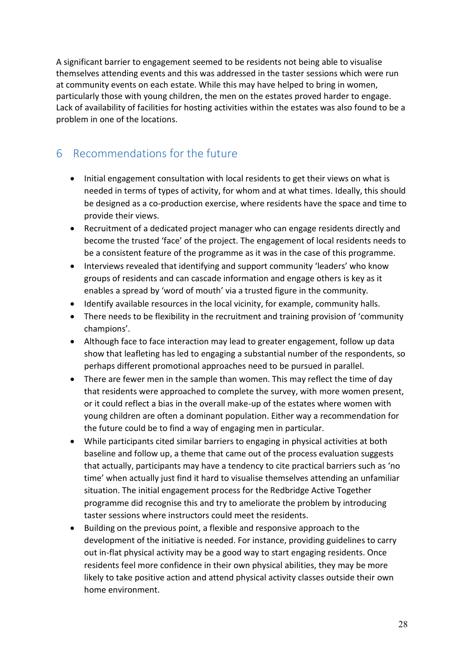A significant barrier to engagement seemed to be residents not being able to visualise themselves attending events and this was addressed in the taster sessions which were run at community events on each estate. While this may have helped to bring in women, particularly those with young children, the men on the estates proved harder to engage. Lack of availability of facilities for hosting activities within the estates was also found to be a problem in one of the locations.

## <span id="page-28-0"></span>6 Recommendations for the future

- Initial engagement consultation with local residents to get their views on what is needed in terms of types of activity, for whom and at what times. Ideally, this should be designed as a co-production exercise, where residents have the space and time to provide their views.
- Recruitment of a dedicated project manager who can engage residents directly and become the trusted 'face' of the project. The engagement of local residents needs to be a consistent feature of the programme as it was in the case of this programme.
- Interviews revealed that identifying and support community 'leaders' who know groups of residents and can cascade information and engage others is key as it enables a spread by 'word of mouth' via a trusted figure in the community.
- Identify available resources in the local vicinity, for example, community halls.
- There needs to be flexibility in the recruitment and training provision of 'community champions'.
- Although face to face interaction may lead to greater engagement, follow up data show that leafleting has led to engaging a substantial number of the respondents, so perhaps different promotional approaches need to be pursued in parallel.
- There are fewer men in the sample than women. This may reflect the time of day that residents were approached to complete the survey, with more women present, or it could reflect a bias in the overall make-up of the estates where women with young children are often a dominant population. Either way a recommendation for the future could be to find a way of engaging men in particular.
- While participants cited similar barriers to engaging in physical activities at both baseline and follow up, a theme that came out of the process evaluation suggests that actually, participants may have a tendency to cite practical barriers such as 'no time' when actually just find it hard to visualise themselves attending an unfamiliar situation. The initial engagement process for the Redbridge Active Together programme did recognise this and try to ameliorate the problem by introducing taster sessions where instructors could meet the residents.
- Building on the previous point, a flexible and responsive approach to the development of the initiative is needed. For instance, providing guidelines to carry out in-flat physical activity may be a good way to start engaging residents. Once residents feel more confidence in their own physical abilities, they may be more likely to take positive action and attend physical activity classes outside their own home environment.